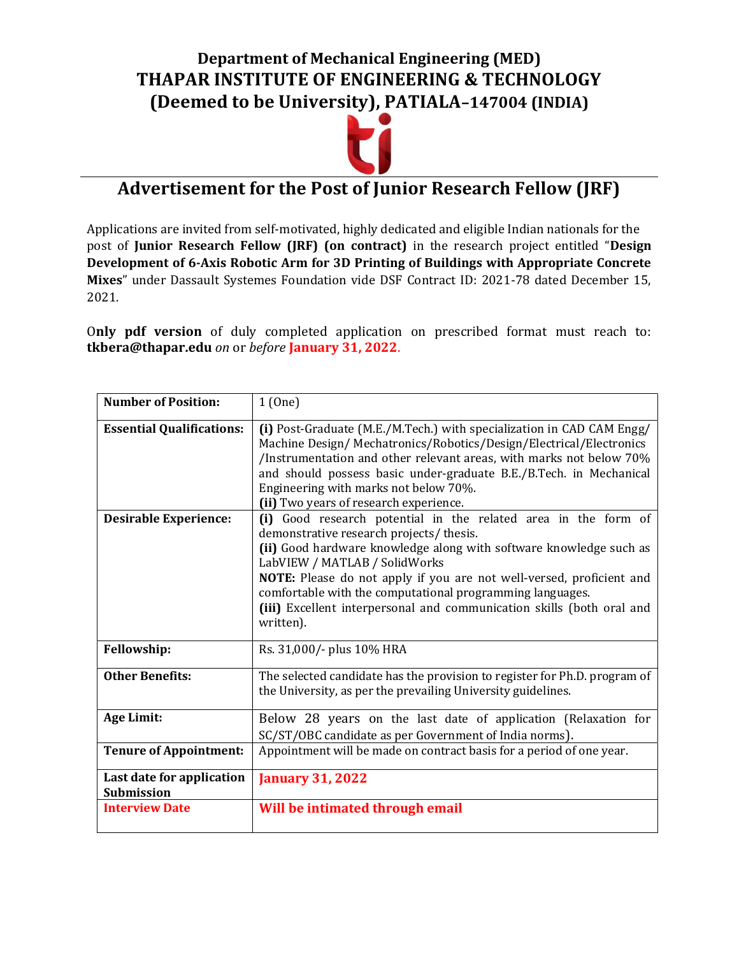### Department of Mechanical Engineering (MED) THAPAR INSTITUTE OF ENGINEERING & TECHNOLOGY (Deemed to be University), PATIALA–147004 (INDIA)



# Advertisement for the Post of Junior Research Fellow (JRF)

Applications are invited from self-motivated, highly dedicated and eligible Indian nationals for the post of Junior Research Fellow (JRF) (on contract) in the research project entitled "Design Development of 6-Axis Robotic Arm for 3D Printing of Buildings with Appropriate Concrete Mixes" under Dassault Systemes Foundation vide DSF Contract ID: 2021-78 dated December 15, 2021.

Only pdf version of duly completed application on prescribed format must reach to: tkbera@thapar.edu on or before January 31, 2022.

| <b>Number of Position:</b>                     | 1(0ne)                                                                                                                                                                                                                                                                                                                                                                                                                                      |  |  |  |  |
|------------------------------------------------|---------------------------------------------------------------------------------------------------------------------------------------------------------------------------------------------------------------------------------------------------------------------------------------------------------------------------------------------------------------------------------------------------------------------------------------------|--|--|--|--|
| <b>Essential Qualifications:</b>               | (i) Post-Graduate (M.E./M.Tech.) with specialization in CAD CAM Engg/<br>Machine Design/Mechatronics/Robotics/Design/Electrical/Electronics<br>/Instrumentation and other relevant areas, with marks not below 70%<br>and should possess basic under-graduate B.E./B.Tech. in Mechanical<br>Engineering with marks not below 70%.<br>(ii) Two years of research experience.                                                                 |  |  |  |  |
| <b>Desirable Experience:</b>                   | (i) Good research potential in the related area in the form of<br>demonstrative research projects/thesis.<br>(ii) Good hardware knowledge along with software knowledge such as<br>LabVIEW / MATLAB / SolidWorks<br>NOTE: Please do not apply if you are not well-versed, proficient and<br>comfortable with the computational programming languages.<br>(iii) Excellent interpersonal and communication skills (both oral and<br>written). |  |  |  |  |
| <b>Fellowship:</b>                             | Rs. 31,000/- plus 10% HRA                                                                                                                                                                                                                                                                                                                                                                                                                   |  |  |  |  |
| <b>Other Benefits:</b>                         | The selected candidate has the provision to register for Ph.D. program of<br>the University, as per the prevailing University guidelines.                                                                                                                                                                                                                                                                                                   |  |  |  |  |
| Age Limit:                                     | Below 28 years on the last date of application (Relaxation for<br>SC/ST/OBC candidate as per Government of India norms).                                                                                                                                                                                                                                                                                                                    |  |  |  |  |
| <b>Tenure of Appointment:</b>                  | Appointment will be made on contract basis for a period of one year.                                                                                                                                                                                                                                                                                                                                                                        |  |  |  |  |
| Last date for application<br><b>Submission</b> | <b>January 31, 2022</b>                                                                                                                                                                                                                                                                                                                                                                                                                     |  |  |  |  |
| <b>Interview Date</b>                          | Will be intimated through email                                                                                                                                                                                                                                                                                                                                                                                                             |  |  |  |  |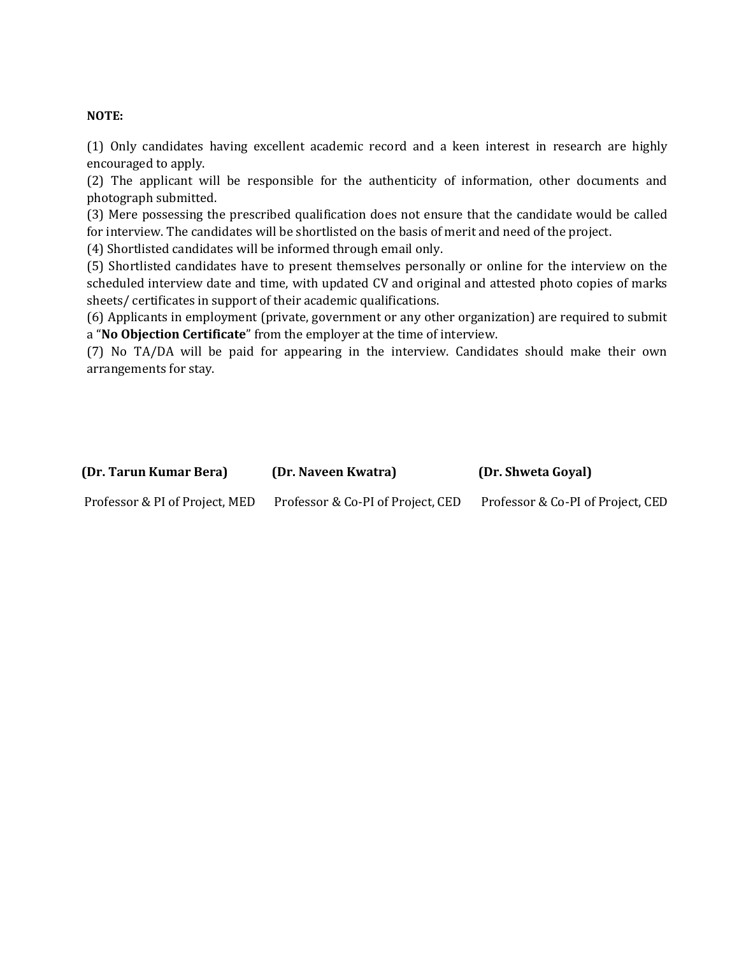#### NOTE:

(1) Only candidates having excellent academic record and a keen interest in research are highly encouraged to apply.

(2) The applicant will be responsible for the authenticity of information, other documents and photograph submitted.

(3) Mere possessing the prescribed qualification does not ensure that the candidate would be called for interview. The candidates will be shortlisted on the basis of merit and need of the project.

(4) Shortlisted candidates will be informed through email only.

(5) Shortlisted candidates have to present themselves personally or online for the interview on the scheduled interview date and time, with updated CV and original and attested photo copies of marks sheets/ certificates in support of their academic qualifications.

(6) Applicants in employment (private, government or any other organization) are required to submit a "No Objection Certificate" from the employer at the time of interview.

(7) No TA/DA will be paid for appearing in the interview. Candidates should make their own arrangements for stay.

| (Dr. Tarun Kumar Bera)         | (Dr. Naveen Kwatra)               | (Dr. Shweta Goyal)                |
|--------------------------------|-----------------------------------|-----------------------------------|
| Professor & PI of Project, MED | Professor & Co-PI of Project, CED | Professor & Co-PI of Project, CED |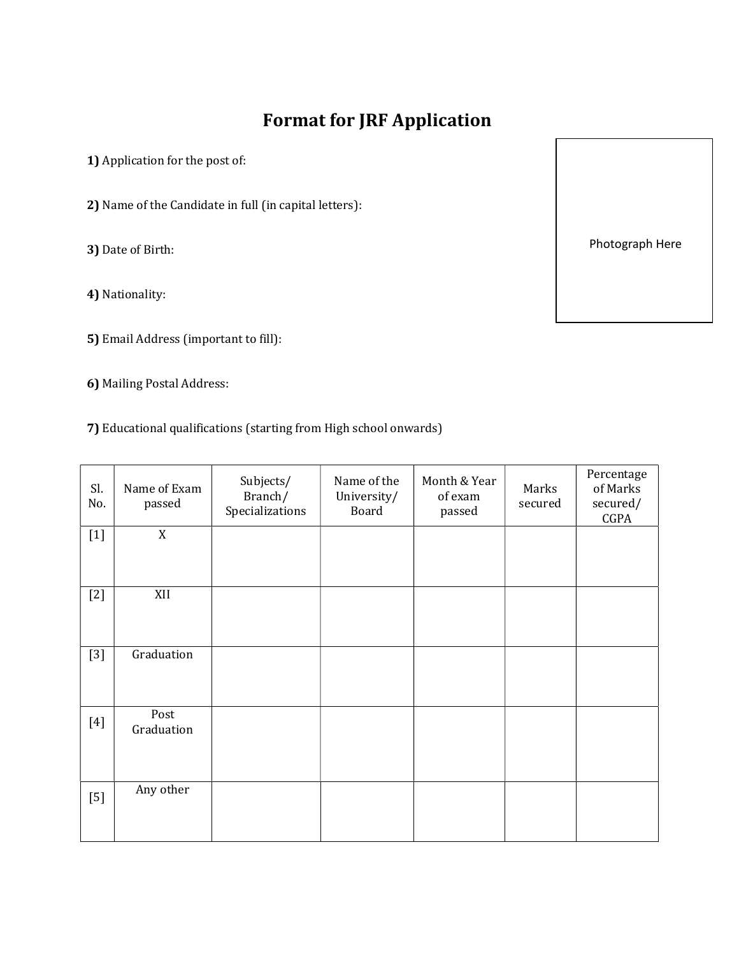## Format for JRF Application

1) Application for the post of:

2) Name of the Candidate in full (in capital letters):

3) Date of Birth:

4) Nationality:

- 5) Email Address (important to fill):
- 6) Mailing Postal Address:
- 7) Educational qualifications (starting from High school onwards)

| Sl.<br>No. | Name of Exam<br>passed | Subjects/<br>Branch/<br>Specializations | Name of the<br>University/<br>Board | Month & Year<br>of exam<br>passed | Marks<br>secured | Percentage<br>of Marks<br>secured/<br>CGPA |
|------------|------------------------|-----------------------------------------|-------------------------------------|-----------------------------------|------------------|--------------------------------------------|
| $[1]$      | X                      |                                         |                                     |                                   |                  |                                            |
| $[2]$      | XII                    |                                         |                                     |                                   |                  |                                            |
| $[3]$      | Graduation             |                                         |                                     |                                   |                  |                                            |
| $[4]$      | Post<br>Graduation     |                                         |                                     |                                   |                  |                                            |
| $[5]$      | Any other              |                                         |                                     |                                   |                  |                                            |

Photograph Here